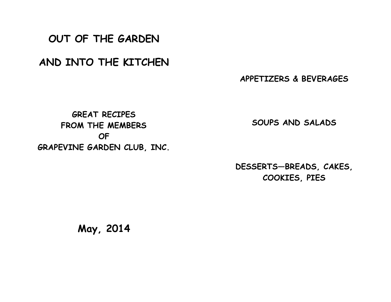**OUT OF THE GARDEN**

**AND INTO THE KITCHEN**

**APPETIZERS & BEVERAGES**

**GREAT RECIPES FROM THE MEMBERS OF GRAPEVINE GARDEN CLUB, INC.**

**SOUPS AND SALADS**

**DESSERTS—BREADS, CAKES, COOKIES, PIES**

**May, 2014**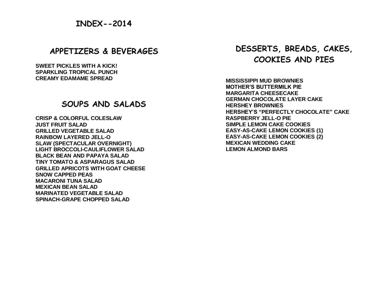## **APPETIZERS & BEVERAGES**

**SWEET PICKLES WITH A KICK! SPARKLING TROPICAL PUNCH CREAMY EDAMAME SPREAD**

## **SOUPS AND SALADS**

**CRISP & COLORFUL COLESLAW JUST FRUIT SALAD GRILLED VEGETABLE SALAD RAINBOW LAYERED JELL-O SLAW (SPECTACULAR OVERNIGHT) LIGHT BROCCOLI-CAULIFLOWER SALAD BLACK BEAN AND PAPAYA SALAD TINY TOMATO & ASPARAGUS SALAD GRILLED APRICOTS WITH GOAT CHEESE SNOW CAPPED PEAS MACARONI TUNA SALAD MEXICAN BEAN SALAD MARINATED VEGETABLE SALAD SPINACH-GRAPE CHOPPED SALAD**

# **DESSERTS, BREADS, CAKES, COOKIES AND PIES**

**MISSISSIPPI MUD BROWNIES MOTHER'S BUTTERMILK PIE MARGARITA CHEESECAKE GERMAN CHOCOLATE LAYER CAKE HERSHEY BROWNIES HERSHEY'S "PERFECTLY CHOCOLATE" CAKE RASPBERRY JELL-O PIE SIMPLE LEMON CAKE COOKIES EASY-AS-CAKE LEMON COOKIES (1) EASY-AS-CAKE LEMON COOKIES (2) MEXICAN WEDDING CAKE LEMON ALMOND BARS**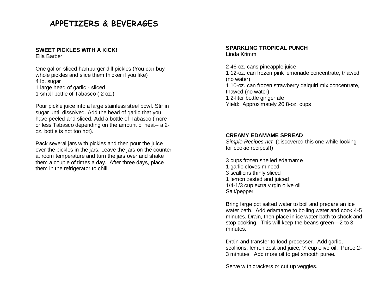# **APPETIZERS & BEVERAGES**

## **SWEET PICKLES WITH A KICK!**

Ella Barber

One gallon sliced hamburger dill pickles (You can buy whole pickles and slice them thicker if you like) 4 lb. sugar 1 large head of garlic - sliced 1 small bottle of Tabasco ( 2 oz.)

Pour pickle juice into a large stainless steel bowl. Stir in sugar until dissolved. Add the head of garlic that you have peeled and sliced. Add a bottle of Tabasco (more or less Tabasco depending on the amount of heat-- a 2 oz. bottle is not too hot).

Pack several jars with pickles and then pour the juice over the pickles in the jars. Leave the jars on the counter at room temperature and turn the jars over and shake them a couple of times a day. After three days, place them in the refrigerator to chill.

## **SPARKLING TROPICAL PUNCH**

Linda Krimm

2 46-oz. cans pineapple juice 1 12-oz. can frozen pink lemonade concentrate, thawed (no water) 1 10-oz. can frozen strawberry daiquiri mix concentrate, thawed (no water) 1 2-liter bottle ginger ale Yield: Approximately 20 8-oz. cups

### **CREAMY EDAMAME SPREAD**

*Simple Recipes.net* (discovered this one while looking for cookie recipes!!)

3 cups frozen shelled edamame 1 garlic cloves minced 3 scallions thinly sliced 1 lemon zested and juiced 1/4-1/3 cup extra virgin olive oil Salt/pepper

Bring large pot salted water to boil and prepare an ice water bath. Add edamame to boiling water and cook 4-5 minutes. Drain, then place in ice water bath to shock and stop cooking. This will keep the beans green—2 to 3 minutes.

Drain and transfer to food processer. Add garlic, scallions, lemon zest and juice, ¼ cup olive oil. Puree 2-3 minutes. Add more oil to get smooth puree.

Serve with crackers or cut up veggies.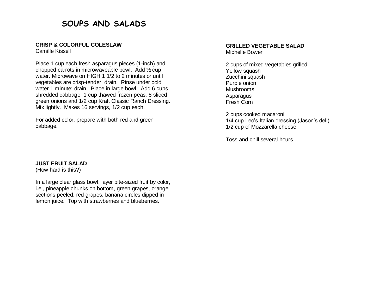# **SOUPS AND SALADS**

#### **CRISP & COLORFUL COLESLAW**

Camille Kissell

Place 1 cup each fresh asparagus pieces (1-inch) and chopped carrots in microwaveable bowl. Add ½ cup water. Microwave on HIGH 1 1/2 to 2 minutes or until vegetables are crisp-tender; drain. Rinse under cold water 1 minute; drain. Place in large bowl. Add 6 cups shredded cabbage, 1 cup thawed frozen peas, 8 sliced green onions and 1/2 cup Kraft Classic Ranch Dressing. Mix lightly. Makes 16 servings, 1/2 cup each.

For added color, prepare with both red and green cabbage.

#### **GRILLED VEGETABLE SALAD** Michelle Bower

2 cups of mixed vegetables grilled: Yellow squash Zucchini squash Purple onion Mushrooms Asparagus Fresh Corn

2 cups cooked macaroni 1/4 cup Leo's Italian dressing (Jason's deli) 1/2 cup of Mozzarella cheese

Toss and chill several hours

#### **JUST FRUIT SALAD**

(How hard is this?)

In a large clear glass bowl, layer bite-sized fruit by color, i.e., pineapple chunks on bottom, green grapes, orange sections peeled, red grapes, banana circles dipped in lemon juice. Top with strawberries and blueberries.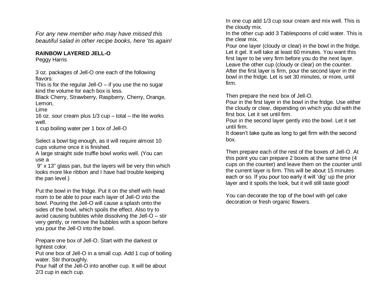*For any new member who may have missed this beautiful salad in other recipe books, here 'tis again!*

#### **RAINBOW LAYERED JELL-O**

Peggy Harris

3 oz. packages of Jell-O one each of the following flavors:

This is for the regular Jell- $O - i f$  you use the no sugar kind the volume for each box is less.

Black Cherry, Strawberry, Raspberry, Cherry, Orange, Lemon,

Lime

16 oz. sour cream plus 1/3 cup – total – the lite works well.

1 cup boiling water per 1 box of Jell-O

Select a bowl big enough, as it will require almost 10 cups volume once it is finished.

A large straight side truffle bowl works well. (You can use a

9" x 13" glass pan, but the layers will be very thin which looks more like ribbon and I have had trouble keeping the pan level.)

Put the bowl in the fridge. Put it on the shelf with head room to be able to pour each layer of Jell-O into the bowl. Pouring the Jell-O will cause a splash onto the sides of the bowl, which spoils the effect. Also try to avoid causing bubbles while dissolving the Jell-O – stir very gently, or remove the bubbles with a spoon before you pour the Jell-O into the bowl.

Prepare one box of Jell-O. Start with the darkest or lightest color.

Put one box of Jell-O in a small cup. Add 1 cup of boiling water. Stir thoroughly.

Pour half of the Jell-O into another cup. It will be about 2/3 cup in each cup.

In one cup add 1/3 cup sour cream and mix well. This is the cloudy mix.

In the other cup add 3 Tablespoons of cold water. This is the clear mix.

Pour one layer (cloudy or clear) in the bowl in the fridge. Let it gel. It will take at least 60 minutes. You want this first layer to be very firm before you do the next layer. Leave the other cup (cloudy or clear) on the counter. After the first layer is firm, pour the second layer in the bowl in the fridge. Let is set 30 minutes, or more, until firm.

Then prepare the next box of Jell-O.

Pour in the first layer in the bowl in the fridge. Use either the cloudy or clear, depending on which you did with the first box. Let it set until firm.

Pour in the second layer gently into the bowl. Let it set until firm.

It doesn't take quite as long to get firm with the second box.

Then prepare each of the rest of the boxes of Jell-O. At this point you can prepare 2 boxes at the same time (4 cups on the counter) and leave them on the counter until the current layer is firm. This will be about 15 minutes each or so. If you pour too early it will 'dig' up the prior layer and it spoils the look, but it will still taste good!

You can decorate the top of the bowl with gel cake decoration or fresh organic flowers.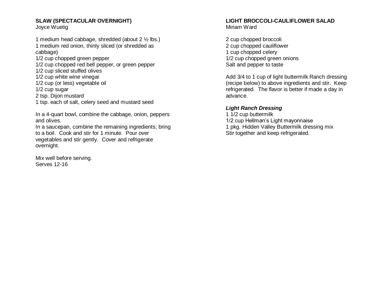### **SLAW (SPECTACULAR OVERNIGHT)**

Joyce Wuetig

1 medium head cabbage, shredded (about 2 ½ lbs.) 1 medium red onion, thinly sliced (or shredded as cabbage) 1/2 cup chopped green pepper 1/2 cup chopped red bell pepper, or green pepper 1/2 cup sliced stuffed olives 1/2 cup white wine vinegar 1/2 cup (or less) vegetable oil 1/2 cup sugar 2 tsp. Dijon mustard 1 tsp. each of salt, celery seed and mustard seed

In a 4-quart bowl, combine the cabbage, onion, peppers and olives.

In a saucepan, combine the remaining ingredients; bring to a boil. Cook and stir for 1 minute. Pour over vegetables and stir gently. Cover and refrigerate overnight.

Mix well before serving. Serves 12-16

#### **LIGHT BROCCOLI-CAULIFLOWER SALAD** Miriam Ward

2 cup chopped broccoli 2 cup chopped cauliflower 1 cup chopped celery 1/2 cup chopped green onions Salt and pepper to taste

Add 3/4 to 1 cup of light buttermilk Ranch dressing (recipe below) to above ingredients and stir. Keep refrigerated. The flavor is better if made a day in advance.

#### *Light Ranch Dressing*

1 1/2 cup buttermilk 1/2 cup Hellman's Light mayonnaise 1 pkg. Hidden Valley Buttermilk dressing mix Stir together and keep refrigerated.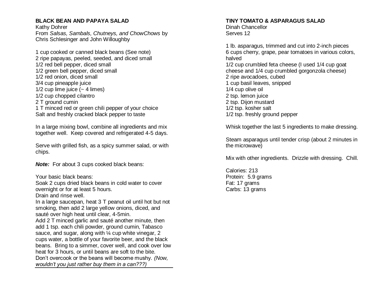#### **BLACK BEAN AND PAPAYA SALAD**

Kathy Dohrer From *Salsas, Sambals, Chutneys, and ChowChows* by Chris Schlesinger and John Willoughby

1 cup cooked or canned black beans (See note) 2 ripe papayas, peeled, seeded, and diced small 1/2 red bell pepper, diced small 1/2 green bell pepper, diced small 1/2 red onion, diced small 3/4 cup pineapple juice 1/2 cup lime juice  $(-4 \text{ lines})$ 1/2 cup chopped cilantro 2 T ground cumin 1 T minced red or green chili pepper of your choice

Salt and freshly cracked black pepper to taste

In a large mixing bowl, combine all ingredients and mix together well. Keep covered and refrigerated 4-5 days.

Serve with grilled fish, as a spicy summer salad, or with chips.

**Note:** For about 3 cups cooked black beans:

Your basic black beans:

Soak 2 cups dried black beans in cold water to cover overnight or for at least 5 hours.

Drain and rinse well.

In a large saucepan, heat 3 T peanut oil until hot but not smoking, then add 2 large yellow onions, diced, and sauté over high heat until clear, 4-5min. Add 2 T minced garlic and sauté another minute, then add 1 tsp. each chili powder, ground cumin, Tabasco sauce, and sugar, along with 1/4 cup white vinegar, 2 cups water, a bottle of your favorite beer, and the black beans. Bring to a simmer, cover well, and cook over low heat for 3 hours, or until beans are soft to the bite. Don't overcook or the beans will become mushy*. (Now, wouldn't you just rather buy them in a can???)*

#### **TINY TOMATO & ASPARAGUS SALAD**

Dinah Chancellor Serves 12

1 lb. asparagus, trimmed and cut into 2-inch pieces 6 cups cherry, grape, pear tomatoes in various colors, halved 1/2 cup crumbled feta cheese (I used 1/4 cup goat cheese and 1/4 cup crumbled gorgonzola cheese) 2 ripe avocadoes, cubed 1 cup basil leaves, snipped 1/4 cup olive oil 2 tsp. lemon juice 2 tsp. Dijon mustard 1/2 tsp. kosher salt 1/2 tsp. freshly ground pepper

Whisk together the last 5 ingredients to make dressing.

Steam asparagus until tender crisp (about 2 minutes in the microwave)

Mix with other ingredients. Drizzle with dressing. Chill.

Calories: 213 Protein: 5.9 grams Fat: 17 grams Carbs: 13 grams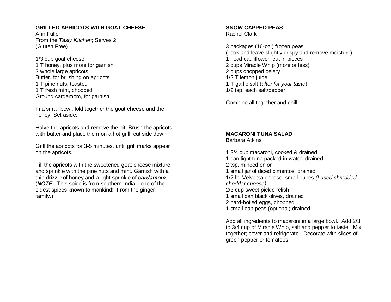#### **GRILLED APRICOTS WITH GOAT CHEESE**

Ann Fuller From the *Tasty Kitchen*; Serves 2 (Gluten Free)

1/3 cup goat cheese 1 T honey, plus more for garnish 2 whole large apricots Butter, for brushing on apricots 1 T pine nuts, toasted 1 T fresh mint, chopped Ground cardamom, for garnish

In a small bowl, fold together the goat cheese and the honey. Set aside.

Halve the apricots and remove the pit. Brush the apricots with butter and place them on a hot grill, cut side down.

Grill the apricots for 3-5 minutes, until grill marks appear on the apricots.

Fill the apricots with the sweetened goat cheese mixture and sprinkle with the pine nuts and mint. Garnish with a thin drizzle of honey and a light sprinkle of *cardamom*. (*NOTE*: This spice is from southern India—one of the oldest spices known to mankind! From the ginger family.)

## **SNOW CAPPED PEAS**

Rachel Clark

3 packages (16-oz.) frozen peas (cook and leave slightly crispy and remove moisture) 1 head cauliflower, cut in pieces 2 cups Miracle Whip (more or less) 2 cups chopped celery 1/2 T lemon juice 1 T garlic salt (*alter for your taste*) 1/2 tsp. each salt/pepper

Combine all together and chill.

#### **MACARONI TUNA SALAD** Barbara Atkins

1 3/4 cup macaroni, cooked & drained 1 can light tuna packed in water, drained 2 tsp. minced onion 1 small jar of diced pimentos, drained 1/2 lb. Velveeta cheese, small cubes *(I used shredded cheddar cheese)* 2/3 cup sweet pickle relish 1 small can black olives, drained 2 hard-boiled eggs, chopped 1 small can peas (optional) drained

Add all ingredients to macaroni in a large bowl. Add 2/3 to 3/4 cup of Miracle Whip, salt and pepper to taste. Mix together; cover and refrigerate. Decorate with slices of green pepper or tomatoes.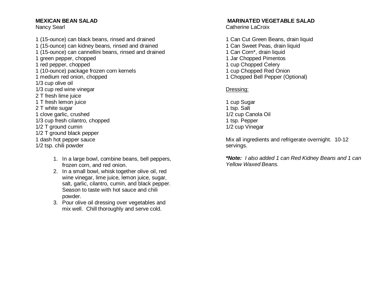#### **MEXICAN BEAN SALAD**

Nancy Searl

- 1 (15-ounce) can black beans, rinsed and drained 1 (15-ounce) can kidney beans, rinsed and drained 1 (15-ounce) can cannellini beans, rinsed and drained 1 green pepper, chopped 1 red pepper, chopped 1 (10-ounce) package frozen corn kernels 1 medium red onion, chopped 1/3 cup olive oil 1/3 cup red wine vinegar 2 T fresh lime juice 1 T fresh lemon juice 2 T white sugar 1 clove garlic, crushed 1/3 cup fresh cilantro, chopped 1/2 T ground cumin 1/2 T ground black pepper 1 dash hot pepper sauce 1/2 tsp. chili powder
	- 1. In a large bowl, combine beans, bell peppers, frozen corn, and red onion.
	- 2. In a small bowl, whisk together olive oil, red wine vinegar, lime juice, lemon juice, sugar, salt, garlic, cilantro, cumin, and black pepper. Season to taste with hot sauce and chili powder.
	- 3. Pour olive oil dressing over vegetables and mix well. Chill thoroughly and serve cold.

#### **MARINATED VEGETABLE SALAD**

Catherine LaCroix

1 Can Cut Green Beans, drain liquid 1 Can Sweet Peas, drain liquid 1 Can Corn\*, drain liquid 1 Jar Chopped Pimentos 1 cup Chopped Celery 1 cup Chopped Red Onion 1 Chopped Bell Pepper (Optional)

#### Dressing:

1 cup Sugar 1 tsp. Salt 1/2 cup Canola Oil 1 tsp. Pepper 1/2 cup Vinegar

Mix all ingredients and refrigerate overnight. 10-12 servings.

*\*Note: I also added 1 can Red Kidney Beans and 1 can Yellow Waxed Beans.*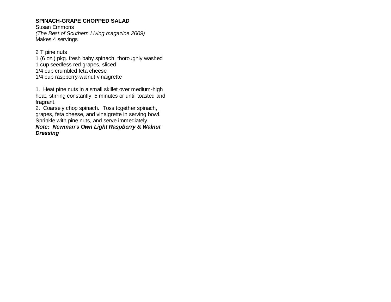#### **SPINACH-GRAPE CHOPPED SALAD**

Susan Emmons *(The Best of Southern Living magazine 2009)*  Makes 4 servings

2 T pine nuts 1 (6 oz.) pkg. fresh baby spinach, thoroughly washed 1 cup seedless red grapes, sliced 1/4 cup crumbled feta cheese 1/4 cup raspberry-walnut vinaigrette

1. Heat pine nuts in a small skillet over medium-high heat, stirring constantly, 5 minutes or until toasted and fragrant.

2. Coarsely chop spinach. Toss together spinach, grapes, feta cheese, and vinaigrette in serving bowl. Sprinkle with pine nuts, and serve immediately.

*Note: Newman's Own Light Raspberry & Walnut Dressing*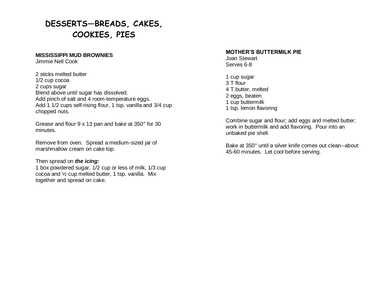# **DESSERTS—BREADS, CAKES, COOKIES, PIES**

#### **MISSISSIPPI MUD BROWNIES**

Jimmie Nell Cook

2 sticks melted butter 1/2 cup cocoa 2 cups sugar Blend above until sugar has dissolved. Add pinch of salt and 4 room-temperature eggs. Add 1 1/2 cups self-rising flour, 1 tsp. vanilla and 3/4 cup chopped nuts.

Grease and flour 9 x 13 pan and bake at 350° for 30 minutes.

Remove from oven. Spread a medium-sized jar of marshmallow cream on cake top.

Then spread on *the icing:*

1 box powdered sugar, 1/2 cup or less of milk, 1/3 cup cocoa and ½ cup melted butter, 1 tsp. vanilla. Mix together and spread on cake.

#### **MOTHER'S BUTTERMILK PIE**

Joan Stewart Serves 6-8

1 cup sugar 3 T flour 4 T butter, melted 2 eggs, beaten 1 cup buttermilk 1 tsp. lemon flavoring

Combine sugar and flour; add eggs and melted butter; work in buttermilk and add flavoring. Pour into an unbaked pie shell.

Bake at 350° until a silver knife comes out clean--about 45-60 minutes. Let cool before serving.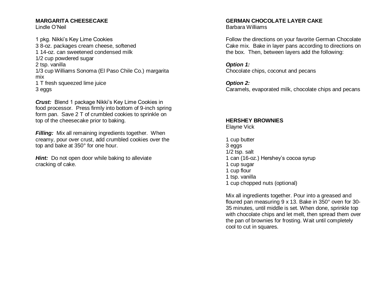### **MARGARITA CHEESECAKE**

Lindle O'Neil

1 pkg. Nikki's Key Lime Cookies 3 8-oz. packages cream cheese, softened 1 14-oz. can sweetened condensed milk 1/2 cup powdered sugar 2 tsp. vanilla 1/3 cup Williams Sonoma (El Paso Chile Co.) margarita mix 1 T fresh squeezed lime juice 3 eggs

*Crust:* Blend 1 package Nikki's Key Lime Cookies in food processor. Press firmly into bottom of 9-inch spring form pan. Save 2 T of crumbled cookies to sprinkle on top of the cheesecake prior to baking.

*Filling:* Mix all remaining ingredients together. When creamy, pour over crust, add crumbled cookies over the top and bake at 350° for one hour.

*Hint:* Do not open door while baking to alleviate cracking of cake.

# **GERMAN CHOCOLATE LAYER CAKE**

Barbara Williams

Follow the directions on your favorite German Chocolate Cake mix. Bake in layer pans according to directions on the box. Then, between layers add the following:

*Option 1:* Chocolate chips, coconut and pecans

*Option 2:*

Caramels, evaporated milk, chocolate chips and pecans

#### **HERSHEY BROWNIES** Elayne Vick

1 cup butter 3 eggs 1/2 tsp. salt 1 can (16-oz.) Hershey's cocoa syrup 1 cup sugar 1 cup flour 1 tsp. vanilla 1 cup chopped nuts (optional)

Mix all ingredients together. Pour into a greased and floured pan measuring 9 x 13. Bake in 350° oven for 30- 35 minutes, until middle is set. When done, sprinkle top with chocolate chips and let melt, then spread them over the pan of brownies for frosting. Wait until completely cool to cut in squares.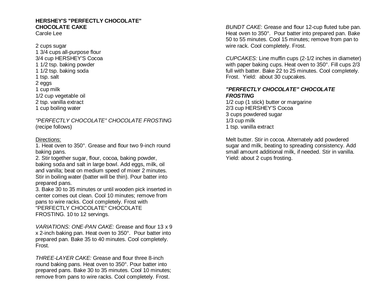#### **HERSHEY'S "PERFECTLY CHOCOLATE" CHOCOLATE CAKE**

Carole Lee

2 cups sugar 1 3/4 cups all-purpose flour 3/4 cup HERSHEY'S Cocoa 1 1/2 tsp. baking powder 1 1/2 tsp. baking soda 1 tsp. salt 2 eggs 1 cup milk 1/2 cup vegetable oil 2 tsp. vanilla extract 1 cup boiling water

*"PERFECTLY CHOCOLATE" CHOCOLATE FROSTING* (recipe follows)

#### Directions:

1. Heat oven to 350°. Grease and flour two 9-inch round baking pans.

2. Stir together sugar, flour, cocoa, baking powder, baking soda and salt in large bowl. Add eggs, milk, oil and vanilla; beat on medium speed of mixer 2 minutes. Stir in boiling water (batter will be thin). Pour batter into prepared pans.

3. Bake 30 to 35 minutes or until wooden pick inserted in center comes out clean. Cool 10 minutes; remove from pans to wire racks. Cool completely. Frost with "PERFECTLY CHOCOLATE" CHOCOLATE FROSTING. 10 to 12 servings.

*VARIATIONS: ONE-PAN CAKE:* Grease and flour 13 x 9 x 2-inch baking pan. Heat oven to 350°. Pour batter into prepared pan. Bake 35 to 40 minutes. Cool completely. Frost.

*THREE-LAYER CAKE:* Grease and flour three 8-inch round baking pans. Heat oven to 350°. Pour batter into prepared pans. Bake 30 to 35 minutes. Cool 10 minutes; remove from pans to wire racks. Cool completely. Frost.

*BUNDT CAKE*: Grease and flour 12-cup fluted tube pan. Heat oven to 350°. Pour batter into prepared pan. Bake 50 to 55 minutes. Cool 15 minutes; remove from pan to wire rack. Cool completely. Frost.

*CUPCAKES:* Line muffin cups (2-1/2 inches in diameter) with paper baking cups. Heat oven to 350°. Fill cups 2/3 full with batter. Bake 22 to 25 minutes. Cool completely. Frost. Yield: about 30 cupcakes.

#### *"PERFECTLY CHOCOLATE" CHOCOLATE FROSTING*

1/2 cup (1 stick) butter or margarine 2/3 cup HERSHEY'S Cocoa 3 cups powdered sugar 1/3 cup milk 1 tsp. vanilla extract

Melt butter. Stir in cocoa. Alternately add powdered sugar and milk, beating to spreading consistency. Add small amount additional milk, if needed. Stir in vanilla. Yield: about 2 cups frosting.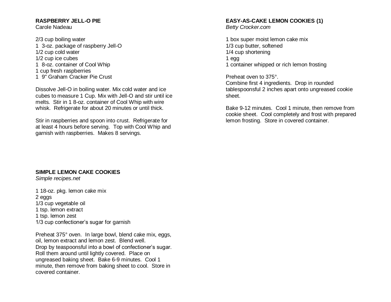## **RASPBERRY JELL-O PIE**

Carole Nadeau

2/3 cup boiling water 1 3-oz. package of raspberry Jell-O 1/2 cup cold water 1/2 cup ice cubes 1 8-oz. container of Cool Whip 1 cup fresh raspberries 1 9" Graham Cracker Pie Crust

Dissolve Jell-O in boiling water. Mix cold water and ice cubes to measure 1 Cup. Mix with Jell-O and stir until ice melts. Stir in 1 8-oz. container of Cool Whip with wire whisk. Refrigerate for about 20 minutes or until thick.

Stir in raspberries and spoon into crust. Refrigerate for at least 4 hours before serving. Top with Cool Whip and garnish with raspberries. Makes 8 servings.

#### **SIMPLE LEMON CAKE COOKIES**

*Simple recipes.net*

1 18-oz. pkg. lemon cake mix 2 eggs 1/3 cup vegetable oil 1 tsp. lemon extract 1 tsp. lemon zest 1/3 cup confectioner's sugar for garnish

Preheat 375° oven. In large bowl, blend cake mix, eggs, oil, lemon extract and lemon zest. Blend well. Drop by teaspoonsful into a bowl of confectioner's sugar. Roll them around until lightly covered. Place on ungreased baking sheet. Bake 6-9 minutes. Cool 1 minute, then remove from baking sheet to cool. Store in covered container.

#### **EASY-AS-CAKE LEMON COOKIES (1)**

*Betty Crocker.com*

1 box super moist lemon cake mix 1/3 cup butter, softened 1/4 cup shortening 1 egg 1 container whipped or rich lemon frosting

Preheat oven to 375°.

Combine first 4 ingredients. Drop in rounded tablespoonsful 2 inches apart onto ungreased cookie sheet.

Bake 9-12 minutes. Cool 1 minute, then remove from cookie sheet. Cool completely and frost with prepared lemon frosting. Store in covered container.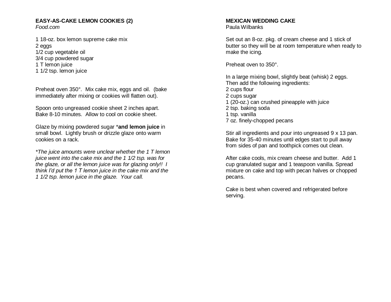#### **EASY-AS-CAKE LEMON COOKIES (2)** *Food.com*

1 18-oz. box lemon supreme cake mix 2 eggs 1/2 cup vegetable oil 3/4 cup powdered sugar 1 T lemon juice 1 1/2 tsp. lemon juice

Preheat oven 350°. Mix cake mix, eggs and oil. (bake immediately after mixing or cookies will flatten out).

Spoon onto ungreased cookie sheet 2 inches apart. Bake 8-10 minutes. Allow to cool on cookie sheet.

Glaze by mixing powdered sugar \***and lemon juice** in small bowl. Lightly brush or drizzle glaze onto warm cookies on a rack.

*\*The juice amounts were unclear whether the 1 T lemon juice went into the cake mix and the 1 1/2 tsp. was for the glaze, or all the lemon juice was for glazing only!! I think I'd put the 1 T lemon juice in the cake mix and the 1 1/2 tsp. lemon juice in the glaze. Your call.*

#### **MEXICAN WEDDING CAKE** Paula Wilbanks

Set out an 8-oz. pkg. of cream cheese and 1 stick of butter so they will be at room temperature when ready to make the icing.

Preheat oven to 350°.

In a large mixing bowl, slightly beat (whisk) 2 eggs. Then add the following ingredients: 2 cups flour 2 cups sugar 1 (20-oz.) can crushed pineapple with juice 2 tsp. baking soda 1 tsp. vanilla 7 oz. finely-chopped pecans

Stir all ingredients and pour into ungreased 9 x 13 pan. Bake for 35-40 minutes until edges start to pull away from sides of pan and toothpick comes out clean.

After cake cools, mix cream cheese and butter. Add 1 cup granulated sugar and 1 teaspoon vanilla. Spread mixture on cake and top with pecan halves or chopped pecans.

Cake is best when covered and refrigerated before serving.